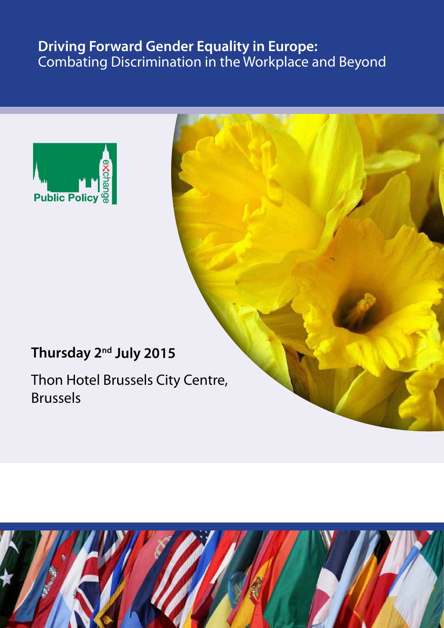# **Driving Forward Gender Equality in Europe:** Combating Discrimination in the Workplace and Beyond



# **Thursday 2nd July 2015**

Thon Hotel Brussels City Centre, Brussels

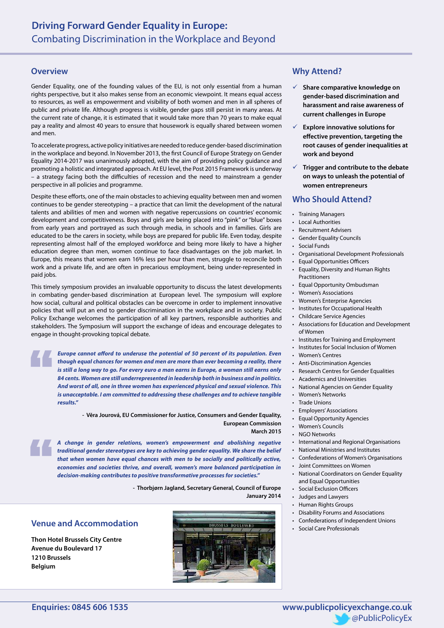#### **Overview**

Gender Equality, one of the founding values of the EU, is not only essential from a human rights perspective, but it also makes sense from an economic viewpoint. It means equal access to resources, as well as empowerment and visibility of both women and men in all spheres of public and private life. Although progress is visible, gender gaps still persist in many areas. At the current rate of change, it is estimated that it would take more than 70 years to make equal pay a reality and almost 40 years to ensure that housework is equally shared between women and men.

To accelerate progress, active policy initiatives are needed to reduce gender-based discrimination in the workplace and beyond. In November 2013, the first Council of Europe Strategy on Gender Equality 2014-2017 was unanimously adopted, with the aim of providing policy guidance and promoting a holistic and integrated approach. At EU level, the Post 2015 Framework is underway – a strategy facing both the difficulties of recession and the need to mainstream a gender perspective in all policies and programme.

Despite these efforts, one of the main obstacles to achieving equality between men and women continues to be gender stereotyping – a practice that can limit the development of the natural talents and abilities of men and women with negative repercussions on countries' economic development and competitiveness. Boys and girls are being placed into "pink" or "blue" boxes from early years and portrayed as such through media, in schools and in families. Girls are educated to be the carers in society, while boys are prepared for public life. Even today, despite representing almost half of the employed workforce and being more likely to have a higher education degree than men, women continue to face disadvantages on the job market. In Europe, this means that women earn 16% less per hour than men, struggle to reconcile both work and a private life, and are often in precarious employment, being under-represented in paid jobs.

This timely symposium provides an invaluable opportunity to discuss the latest developments in combating gender-based discrimination at European level. The symposium will explore how social, cultural and political obstacles can be overcome in order to implement innovative policies that will put an end to gender discrimination in the workplace and in society. Public Policy Exchange welcomes the participation of all key partners, responsible authorities and stakeholders. The Symposium will support the exchange of ideas and encourage delegates to engage in thought-provoking topical debate.

 *Europe cannot afford to underuse the potential of 50 percent of its population. Even though equal chances for women and men are more than ever becoming a reality, there is still a long way to go. For every euro a man earns in Europe, a woman still earns only 84 cents. Women are still underrepresented in leadership both in business and in politics. And worst of all, one in three women has experienced physical and sexual violence. This is unacceptable. I am committed to addressing these challenges and to achieve tangible results."* 

> **- Vĕra Jourová, EU Commissioner for Justice, Consumers and Gender Equality, European Commission**

**March 2015**

*A change in gender relations, women's empowerment and abolishing negative traditional gender stereotypes are key to achieving gender equality. We share the belief that when women have equal chances with men to be socially and politically active, economies and societies thrive, and overall, women's more balanced participation in decision-making contributes to positive transformative processes for societies."*

**- Thorbjørn Jagland, Secretary General, Council of Europe**

**January 2014**

### **Venue and Accommodation**

**Thon Hotel Brussels City Centre Avenue du Boulevard 17 1210 Brussels Belgium**



## **Why Attend?**

- 9 **Share comparative knowledge on gender-based discrimination and harassment and raise awareness of current challenges in Europe**
- 9 **Explore innovative solutions for effective prevention, targeting the root causes of gender inequalities at work and beyond**
- 9 **Trigger and contribute to the debate on ways to unleash the potential of women entrepreneurs**

## **Who Should Attend?**

- • Training Managers
- **Local Authorities**
- **Recruitment Advisers**
- **Gender Equality Councils**
- **Social Funds**
- • Organisational Development Professionals
- **Equal Opportunities Officers**
- Equality, Diversity and Human Rights Practitioners
- **Equal Opportunity Ombudsman**
- **Women's Associations**
- **Women's Enterprise Agencies**
- Institutes for Occupational Health
- **Childcare Service Agencies**
- Associations for Education and Development of Women
- Institutes for Training and Employment
- Institutes for Social Inclusion of Women
- Women's Centres
- **Anti-Discrimination Agencies**
- Research Centres for Gender Equalities
- Academics and Universities
- National Agencies on Gender Equality
- • Women's Networks
- Trade Unions
- **Employers' Associations**
- **Equal Opportunity Agencies**
- **Women's Councils**
- NGO Networks
- International and Regional Organisations
- • National Ministries and Institutes
- • Confederations of Women's Organisations
- • Joint Committees on Women
- National Coordinators on Gender Equality and Equal Opportunities
- • Social Exclusion Officers
- • Judges and Lawyers
- Human Rights Groups
- • Disability Forums and Associations
- • Confederations of Independent Unions
- • Social Care Professionals